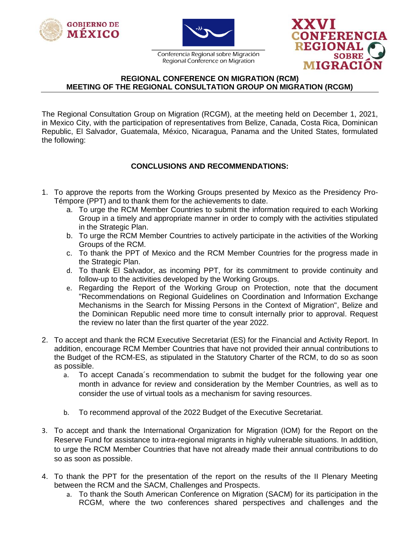





## **REGIONAL CONFERENCE ON MIGRATION (RCM) MEETING OF THE REGIONAL CONSULTATION GROUP ON MIGRATION (RCGM)**

The Regional Consultation Group on Migration (RCGM), at the meeting held on December 1, 2021, in Mexico City, with the participation of representatives from Belize, Canada, Costa Rica, Dominican Republic, El Salvador, Guatemala, México, Nicaragua, Panama and the United States, formulated the following:

## **CONCLUSIONS AND RECOMMENDATIONS:**

- 1. To approve the reports from the Working Groups presented by Mexico as the Presidency Pro-Témpore (PPT) and to thank them for the achievements to date.
	- a. To urge the RCM Member Countries to submit the information required to each Working Group in a timely and appropriate manner in order to comply with the activities stipulated in the Strategic Plan.
	- b. To urge the RCM Member Countries to actively participate in the activities of the Working Groups of the RCM.
	- c. To thank the PPT of Mexico and the RCM Member Countries for the progress made in the Strategic Plan.
	- d. To thank El Salvador, as incoming PPT, for its commitment to provide continuity and follow-up to the activities developed by the Working Groups.
	- e. Regarding the Report of the Working Group on Protection, note that the document "Recommendations on Regional Guidelines on Coordination and Information Exchange Mechanisms in the Search for Missing Persons in the Context of Migration", Belize and the Dominican Republic need more time to consult internally prior to approval. Request the review no later than the first quarter of the year 2022.
- 2. To accept and thank the RCM Executive Secretariat (ES) for the Financial and Activity Report. In addition, encourage RCM Member Countries that have not provided their annual contributions to the Budget of the RCM-ES, as stipulated in the Statutory Charter of the RCM, to do so as soon as possible.
	- a. To accept Canada´s recommendation to submit the budget for the following year one month in advance for review and consideration by the Member Countries, as well as to consider the use of virtual tools as a mechanism for saving resources.
	- b. To recommend approval of the 2022 Budget of the Executive Secretariat.
- 3. To accept and thank the International Organization for Migration (IOM) for the Report on the Reserve Fund for assistance to intra-regional migrants in highly vulnerable situations. In addition, to urge the RCM Member Countries that have not already made their annual contributions to do so as soon as possible.
- 4. To thank the PPT for the presentation of the report on the results of the II Plenary Meeting between the RCM and the SACM, Challenges and Prospects.
	- a. To thank the South American Conference on Migration (SACM) for its participation in the RCGM, where the two conferences shared perspectives and challenges and the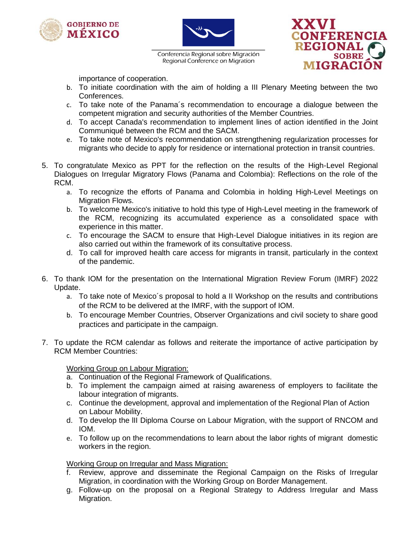





importance of cooperation.

- b. To initiate coordination with the aim of holding a III Plenary Meeting between the two Conferences.
- c. To take note of the Panama´s recommendation to encourage a dialogue between the competent migration and security authorities of the Member Countries.
- d. To accept Canada's recommendation to implement lines of action identified in the Joint Communiqué between the RCM and the SACM.
- e. To take note of Mexico's recommendation on strengthening regularization processes for migrants who decide to apply for residence or international protection in transit countries.
- 5. To congratulate Mexico as PPT for the reflection on the results of the High-Level Regional Dialogues on Irregular Migratory Flows (Panama and Colombia): Reflections on the role of the RCM.
	- a. To recognize the efforts of Panama and Colombia in holding High-Level Meetings on Migration Flows.
	- b. To welcome Mexico's initiative to hold this type of High-Level meeting in the framework of the RCM, recognizing its accumulated experience as a consolidated space with experience in this matter.
	- c. To encourage the SACM to ensure that High-Level Dialogue initiatives in its region are also carried out within the framework of its consultative process.
	- d. To call for improved health care access for migrants in transit, particularly in the context of the pandemic.
- 6. To thank IOM for the presentation on the International Migration Review Forum (IMRF) 2022 Update.
	- a. To take note of Mexico´s proposal to hold a II Workshop on the results and contributions of the RCM to be delivered at the IMRF, with the support of IOM.
	- b. To encourage Member Countries, Observer Organizations and civil society to share good practices and participate in the campaign.
- 7. To update the RCM calendar as follows and reiterate the importance of active participation by RCM Member Countries:

Working Group on Labour Migration:

- a. Continuation of the Regional Framework of Qualifications.
- b. To implement the campaign aimed at raising awareness of employers to facilitate the labour integration of migrants.
- c. Continue the development, approval and implementation of the Regional Plan of Action on Labour Mobility.
- d. To develop the lII Diploma Course on Labour Migration, with the support of RNCOM and IOM.
- e. To follow up on the recommendations to learn about the labor rights of migrant domestic workers in the region.

Working Group on Irregular and Mass Migration:

- f. Review, approve and disseminate the Regional Campaign on the Risks of Irregular Migration, in coordination with the Working Group on Border Management.
- g. Follow-up on the proposal on a Regional Strategy to Address Irregular and Mass Migration.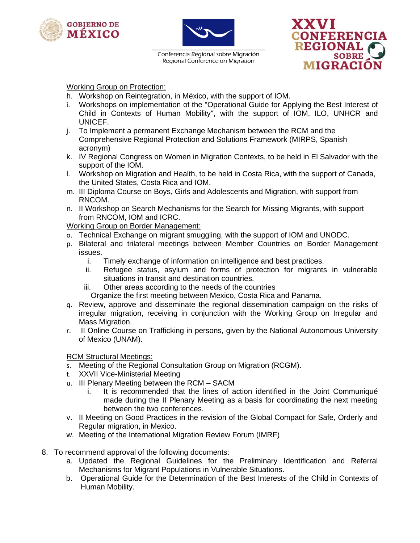





Working Group on Protection:

- h. Workshop on Reintegration, in México, with the support of IOM.
- i. Workshops on implementation of the "Operational Guide for Applying the Best Interest of Child in Contexts of Human Mobility", with the support of IOM, ILO, UNHCR and UNICEF.
- j. To Implement a permanent Exchange Mechanism between the RCM and the Comprehensive Regional Protection and Solutions Framework (MIRPS, Spanish acronym)
- k. IV Regional Congress on Women in Migration Contexts, to be held in El Salvador with the support of the IOM.
- l. Workshop on Migration and Health, to be held in Costa Rica, with the support of Canada, the United States, Costa Rica and IOM.
- m. III Diploma Course on Boys, Girls and Adolescents and Migration, with support from RNCOM.
- n. II Workshop on Search Mechanisms for the Search for Missing Migrants, with support from RNCOM, IOM and ICRC.

Working Group on Border Management:

- o. Technical Exchange on migrant smuggling, with the support of IOM and UNODC.
- p. Bilateral and trilateral meetings between Member Countries on Border Management issues.
	- i. Timely exchange of information on intelligence and best practices.
	- ii. Refugee status, asylum and forms of protection for migrants in vulnerable situations in transit and destination countries.
	- iii. Other areas according to the needs of the countries

Organize the first meeting between Mexico, Costa Rica and Panama.

- q. Review, approve and disseminate the regional dissemination campaign on the risks of irregular migration, receiving in conjunction with the Working Group on Irregular and Mass Migration.
- r. II Online Course on Trafficking in persons, given by the National Autonomous University of Mexico (UNAM).

## RCM Structural Meetings:

- s. Meeting of the Regional Consultation Group on Migration (RCGM).
- t. XXVII Vice-Ministerial Meeting
- u. III Plenary Meeting between the RCM SACM
	- i. It is recommended that the lines of action identified in the Joint Communiqué made during the II Plenary Meeting as a basis for coordinating the next meeting between the two conferences.
- v. II Meeting on Good Practices in the revision of the Global Compact for Safe, Orderly and Regular migration, in Mexico.
- w. Meeting of the International Migration Review Forum (IMRF)
- 8. To recommend approval of the following documents:
	- a. Updated the Regional Guidelines for the Preliminary Identification and Referral Mechanisms for Migrant Populations in Vulnerable Situations.
	- b. Operational Guide for the Determination of the Best Interests of the Child in Contexts of Human Mobility.